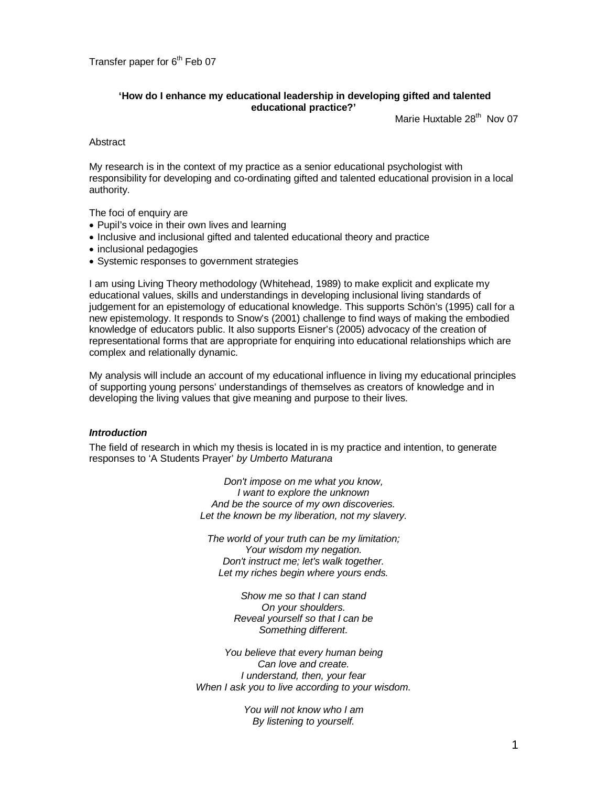# **'How do I enhance my educational leadership in developing gifted and talented educational practice?'**

Marie Huxtable 28<sup>th</sup> Nov 07

**Abstract** 

My research is in the context of my practice as a senior educational psychologist with responsibility for developing and co-ordinating gifted and talented educational provision in a local authority.

The foci of enquiry are

- Pupil's voice in their own lives and learning
- Inclusive and inclusional gifted and talented educational theory and practice
- inclusional pedagogies
- Systemic responses to government strategies

I am using Living Theory methodology (Whitehead, 1989) to make explicit and explicate my educational values, skills and understandings in developing inclusional living standards of judgement for an epistemology of educational knowledge. This supports Schön's (1995) call for a new epistemology. It responds to Snow's (2001) challenge to find ways of making the embodied knowledge of educators public. It also supports Eisner's (2005) advocacy of the creation of representational forms that are appropriate for enquiring into educational relationships which are complex and relationally dynamic.

My analysis will include an account of my educational influence in living my educational principles of supporting young persons' understandings of themselves as creators of knowledge and in developing the living values that give meaning and purpose to their lives.

# *Introduction*

The field of research in which my thesis is located in is my practice and intention, to generate responses to 'A Students Prayer' *by Umberto Maturana*

> *Don't impose on me what you know, I want to explore the unknown And be the source of my own discoveries. Let the known be my liberation, not my slavery.*

*The world of your truth can be my limitation; Your wisdom my negation. Don't instruct me; let's walk together. Let my riches begin where yours ends.*

> *Show me so that I can stand On your shoulders. Reveal yourself so that I can be Something different.*

*You believe that every human being Can love and create. I understand, then, your fear When I ask you to live according to your wisdom.*

> *You will not know who I am By listening to yourself.*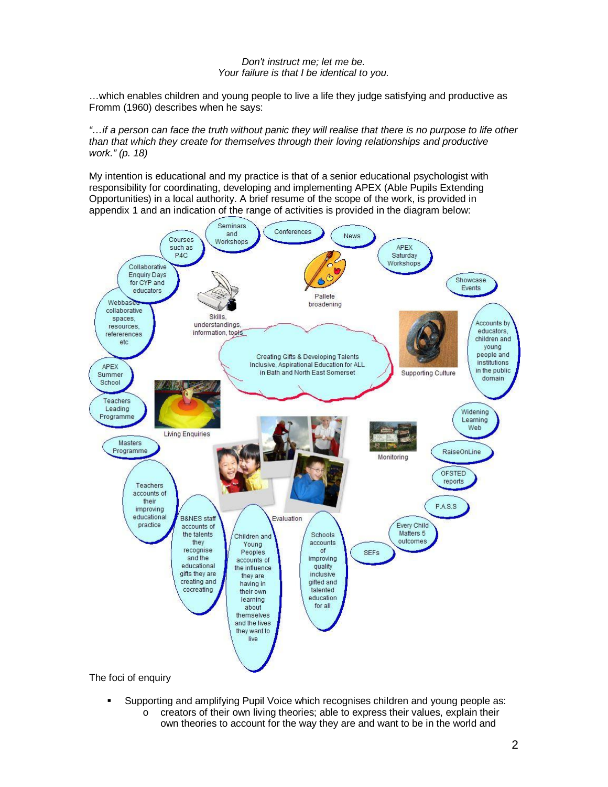# *Don't instruct me; let me be. Your failure is that I be identical to you.*

…which enables children and young people to live a life they judge satisfying and productive as Fromm (1960) describes when he says:

*"…if a person can face the truth without panic they will realise that there is no purpose to life other than that which they create for themselves through their loving relationships and productive work." (p. 18)*

My intention is educational and my practice is that of a senior educational psychologist with responsibility for coordinating, developing and implementing APEX (Able Pupils Extending Opportunities) in a local authority. A brief resume of the scope of the work, is provided in appendix 1 and an indication of the range of activities is provided in the diagram below:



The foci of enquiry

- Supporting and amplifying Pupil Voice which recognises children and young people as: o creators of their own living theories; able to express their values, explain their
	- own theories to account for the way they are and want to be in the world and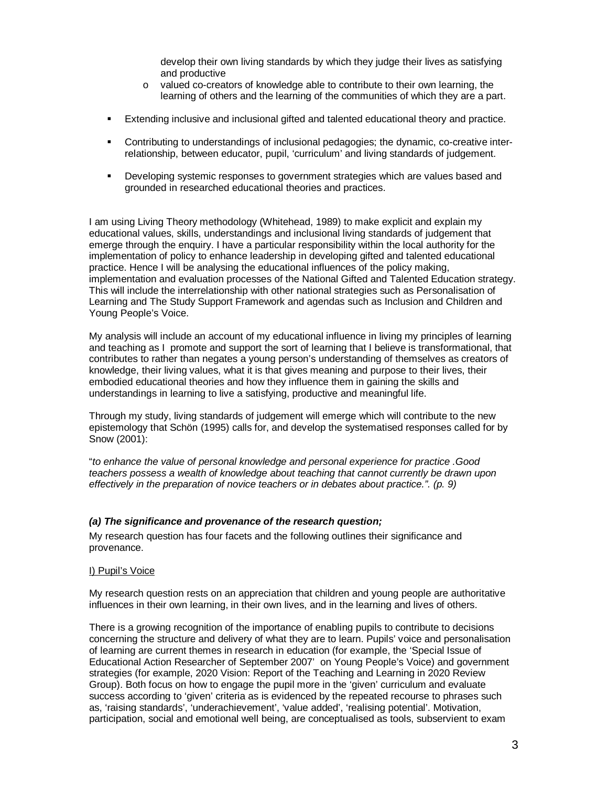develop their own living standards by which they judge their lives as satisfying and productive

- o valued co-creators of knowledge able to contribute to their own learning, the learning of others and the learning of the communities of which they are a part.
- Extending inclusive and inclusional gifted and talented educational theory and practice.
- Contributing to understandings of inclusional pedagogies; the dynamic, co-creative interrelationship, between educator, pupil, 'curriculum' and living standards of judgement.
- Developing systemic responses to government strategies which are values based and grounded in researched educational theories and practices.

I am using Living Theory methodology (Whitehead, 1989) to make explicit and explain my educational values, skills, understandings and inclusional living standards of judgement that emerge through the enquiry. I have a particular responsibility within the local authority for the implementation of policy to enhance leadership in developing gifted and talented educational practice. Hence I will be analysing the educational influences of the policy making, implementation and evaluation processes of the National Gifted and Talented Education strategy. This will include the interrelationship with other national strategies such as Personalisation of Learning and The Study Support Framework and agendas such as Inclusion and Children and Young People's Voice.

My analysis will include an account of my educational influence in living my principles of learning and teaching as I promote and support the sort of learning that I believe is transformational, that contributes to rather than negates a young person's understanding of themselves as creators of knowledge, their living values, what it is that gives meaning and purpose to their lives, their embodied educational theories and how they influence them in gaining the skills and understandings in learning to live a satisfying, productive and meaningful life.

Through my study, living standards of judgement will emerge which will contribute to the new epistemology that Schön (1995) calls for, and develop the systematised responses called for by Snow (2001):

"*to enhance the value of personal knowledge and personal experience for practice .Good teachers possess a wealth of knowledge about teaching that cannot currently be drawn upon effectively in the preparation of novice teachers or in debates about practice.". (p. 9)*

# *(a) The significance and provenance of the research question;*

My research question has four facets and the following outlines their significance and provenance.

#### I) Pupil's Voice

My research question rests on an appreciation that children and young people are authoritative influences in their own learning, in their own lives, and in the learning and lives of others.

There is a growing recognition of the importance of enabling pupils to contribute to decisions concerning the structure and delivery of what they are to learn. Pupils' voice and personalisation of learning are current themes in research in education (for example, the 'Special Issue of Educational Action Researcher of September 2007' on Young People's Voice) and government strategies (for example, 2020 Vision: Report of the Teaching and Learning in 2020 Review Group). Both focus on how to engage the pupil more in the 'given' curriculum and evaluate success according to 'given' criteria as is evidenced by the repeated recourse to phrases such as, 'raising standards', 'underachievement', 'value added', 'realising potential'. Motivation, participation, social and emotional well being, are conceptualised as tools, subservient to exam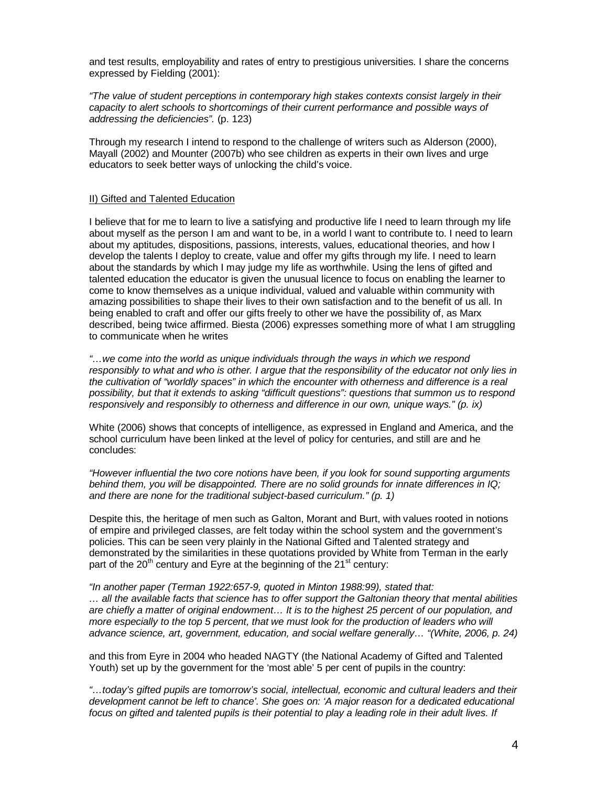and test results, employability and rates of entry to prestigious universities. I share the concerns expressed by Fielding (2001):

*"The value of student perceptions in contemporary high stakes contexts consist largely in their capacity to alert schools to shortcomings of their current performance and possible ways of addressing the deficiencies".* (p. 123)

Through my research I intend to respond to the challenge of writers such as Alderson (2000), Mayall (2002) and Mounter (2007b) who see children as experts in their own lives and urge educators to seek better ways of unlocking the child's voice.

## II) Gifted and Talented Education

I believe that for me to learn to live a satisfying and productive life I need to learn through my life about myself as the person I am and want to be, in a world I want to contribute to. I need to learn about my aptitudes, dispositions, passions, interests, values, educational theories, and how I develop the talents I deploy to create, value and offer my gifts through my life. I need to learn about the standards by which I may judge my life as worthwhile. Using the lens of gifted and talented education the educator is given the unusual licence to focus on enabling the learner to come to know themselves as a unique individual, valued and valuable within community with amazing possibilities to shape their lives to their own satisfaction and to the benefit of us all. In being enabled to craft and offer our gifts freely to other we have the possibility of, as Marx described, being twice affirmed. Biesta (2006) expresses something more of what I am struggling to communicate when he writes

*"…we come into the world as unique individuals through the ways in which we respond responsibly to what and who is other. I argue that the responsibility of the educator not only lies in the cultivation of "worldly spaces" in which the encounter with otherness and difference is a real possibility, but that it extends to asking "difficult questions": questions that summon us to respond responsively and responsibly to otherness and difference in our own, unique ways." (p. ix)*

White (2006) shows that concepts of intelligence, as expressed in England and America, and the school curriculum have been linked at the level of policy for centuries, and still are and he concludes:

*"However influential the two core notions have been, if you look for sound supporting arguments behind them, you will be disappointed. There are no solid grounds for innate differences in IQ; and there are none for the traditional subject-based curriculum." (p. 1)*

Despite this, the heritage of men such as Galton, Morant and Burt, with values rooted in notions of empire and privileged classes, are felt today within the school system and the government's policies. This can be seen very plainly in the National Gifted and Talented strategy and demonstrated by the similarities in these quotations provided by White from Terman in the early part of the 20<sup>th</sup> century and Eyre at the beginning of the 21<sup>st</sup> century:

*"In another paper (Terman 1922:657-9, quoted in Minton 1988:99), stated that: … all the available facts that science has to offer support the Galtonian theory that mental abilities are chiefly a matter of original endowment… It is to the highest 25 percent of our population, and more especially to the top 5 percent, that we must look for the production of leaders who will advance science, art, government, education, and social welfare generally… "(White, 2006, p. 24)*

and this from Eyre in 2004 who headed NAGTY (the National Academy of Gifted and Talented Youth) set up by the government for the 'most able' 5 per cent of pupils in the country:

*"…today's gifted pupils are tomorrow's social, intellectual, economic and cultural leaders and their development cannot be left to chance'. She goes on: 'A major reason for a dedicated educational focus on gifted and talented pupils is their potential to play a leading role in their adult lives. If*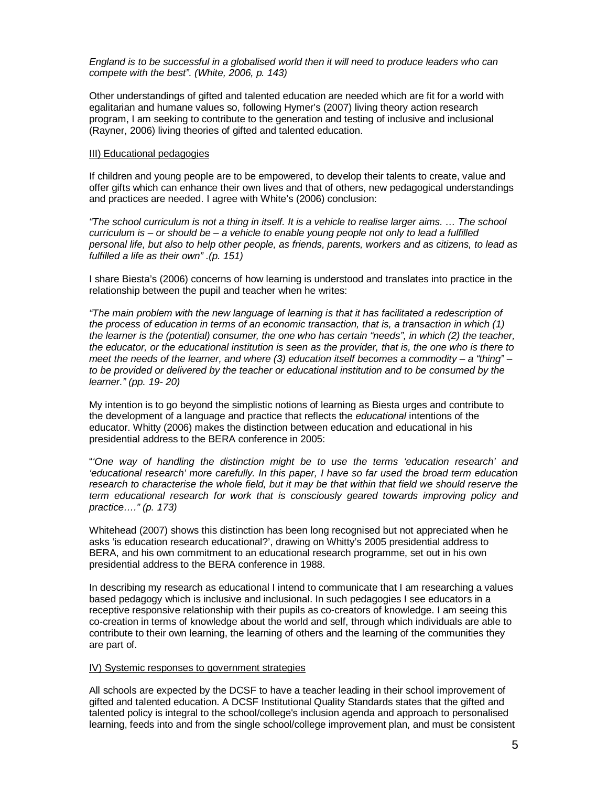*England is to be successful in a globalised world then it will need to produce leaders who can compete with the best". (White, 2006, p. 143)*

Other understandings of gifted and talented education are needed which are fit for a world with egalitarian and humane values so, following Hymer's (2007) living theory action research program, I am seeking to contribute to the generation and testing of inclusive and inclusional (Rayner, 2006) living theories of gifted and talented education.

### III) Educational pedagogies

If children and young people are to be empowered, to develop their talents to create, value and offer gifts which can enhance their own lives and that of others, new pedagogical understandings and practices are needed. I agree with White's (2006) conclusion:

*"The school curriculum is not a thing in itself. It is a vehicle to realise larger aims. … The school curriculum is – or should be – a vehicle to enable young people not only to lead a fulfilled personal life, but also to help other people, as friends, parents, workers and as citizens, to lead as fulfilled a life as their own" .(p. 151)*

I share Biesta's (2006) concerns of how learning is understood and translates into practice in the relationship between the pupil and teacher when he writes:

*"The main problem with the new language of learning is that it has facilitated a redescription of the process of education in terms of an economic transaction, that is, a transaction in which (1) the learner is the (potential) consumer, the one who has certain "needs", in which (2) the teacher, the educator, or the educational institution is seen as the provider, that is, the one who is there to meet the needs of the learner, and where (3) education itself becomes a commodity – a "thing" – to be provided or delivered by the teacher or educational institution and to be consumed by the learner." (pp. 19- 20)*

My intention is to go beyond the simplistic notions of learning as Biesta urges and contribute to the development of a language and practice that reflects the *educational* intentions of the educator. Whitty (2006) makes the distinction between education and educational in his presidential address to the BERA conference in 2005:

"*'One way of handling the distinction might be to use the terms 'education research' and 'educational research' more carefully. In this paper, I have so far used the broad term education research to characterise the whole field, but it may be that within that field we should reserve the term educational research for work that is consciously geared towards improving policy and practice…." (p. 173)*

Whitehead (2007) shows this distinction has been long recognised but not appreciated when he asks 'is education research educational?', drawing on Whitty's 2005 presidential address to BERA, and his own commitment to an educational research programme, set out in his own presidential address to the BERA conference in 1988.

In describing my research as educational I intend to communicate that I am researching a values based pedagogy which is inclusive and inclusional. In such pedagogies I see educators in a receptive responsive relationship with their pupils as co-creators of knowledge. I am seeing this co-creation in terms of knowledge about the world and self, through which individuals are able to contribute to their own learning, the learning of others and the learning of the communities they are part of.

# IV) Systemic responses to government strategies

All schools are expected by the DCSF to have a teacher leading in their school improvement of gifted and talented education. A DCSF Institutional Quality Standards states that the gifted and talented policy is integral to the school/college's inclusion agenda and approach to personalised learning, feeds into and from the single school/college improvement plan, and must be consistent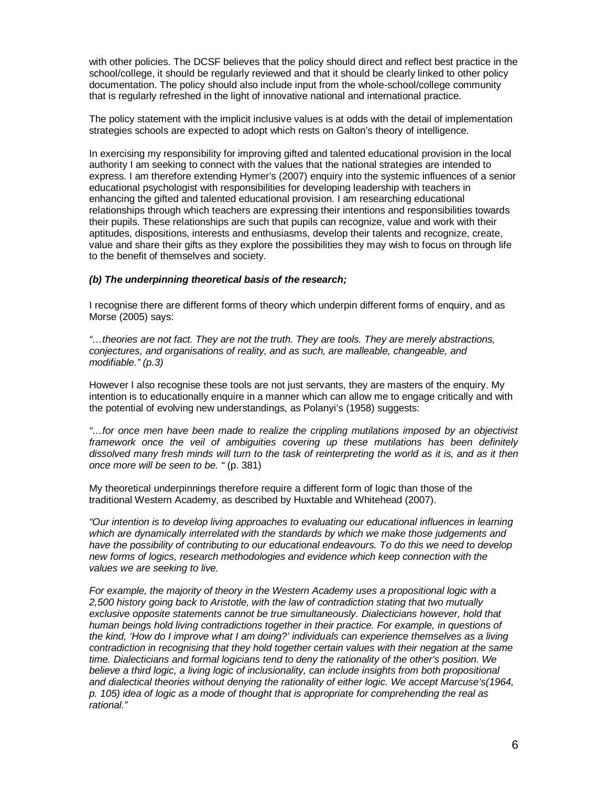with other policies. The DCSF believes that the policy should direct and reflect best practice in the school/college, it should be regularly reviewed and that it should be clearly linked to other policy documentation. The policy should also include input from the whole-school/college community that is regularly refreshed in the light of innovative national and international practice.

The policy statement with the implicit inclusive values is at odds with the detail of implementation strategies schools are expected to adopt which rests on Galton's theory of intelligence.

In exercising my responsibility for improving gifted and talented educational provision in the local authority I am seeking to connect with the values that the national strategies are intended to express. I am therefore extending Hymer's (2007) enquiry into the systemic influences of a senior educational psychologist with responsibilities for developing leadership with teachers in enhancing the gifted and talented educational provision. I am researching educational relationships through which teachers are expressing their intentions and responsibilities towards their pupils. These relationships are such that pupils can recognize, value and work with their aptitudes, dispositions, interests and enthusiasms, develop their talents and recognize, create, value and share their gifts as they explore the possibilities they may wish to focus on through life to the benefit of themselves and society.

# *(b) The underpinning theoretical basis of the research;*

I recognise there are different forms of theory which underpin different forms of enquiry, and as Morse (2005) says:

*"…theories are not fact. They are not the truth. They are tools. They are merely abstractions, conjectures, and organisations of reality, and as such, are malleable, changeable, and modifiable." (p.3)*

However I also recognise these tools are not just servants, they are masters of the enquiry. My intention is to educationally enquire in a manner which can allow me to engage critically and with the potential of evolving new understandings, as Polanyi's (1958) suggests:

*"…for once men have been made to realize the crippling mutilations imposed by an objectivist framework once the veil of ambiguities covering up these mutilations has been definitely dissolved many fresh minds will turn to the task of reinterpreting the world as it is, and as it then once more will be seen to be. "* (p. 381)

My theoretical underpinnings therefore require a different form of logic than those of the traditional Western Academy, as described by Huxtable and Whitehead (2007).

*"Our intention is to develop living approaches to evaluating our educational influences in learning which are dynamically interrelated with the standards by which we make those judgements and have the possibility of contributing to our educational endeavours. To do this we need to develop new forms of logics, research methodologies and evidence which keep connection with the values we are seeking to live.*

*For example, the majority of theory in the Western Academy uses a propositional logic with a 2,500 history going back to Aristotle, with the law of contradiction stating that two mutually exclusive opposite statements cannot be true simultaneously. Dialecticians however, hold that human beings hold living contradictions together in their practice. For example, in questions of the kind, 'How do I improve what I am doing?' individuals can experience themselves as a living contradiction in recognising that they hold together certain values with their negation at the same time. Dialecticians and formal logicians tend to deny the rationality of the other's position. We believe a third logic, a living logic of inclusionality, can include insights from both propositional and dialectical theories without denying the rationality of either logic. We accept Marcuse's(1964, p. 105) idea of logic as a mode of thought that is appropriate for comprehending the real as rational."*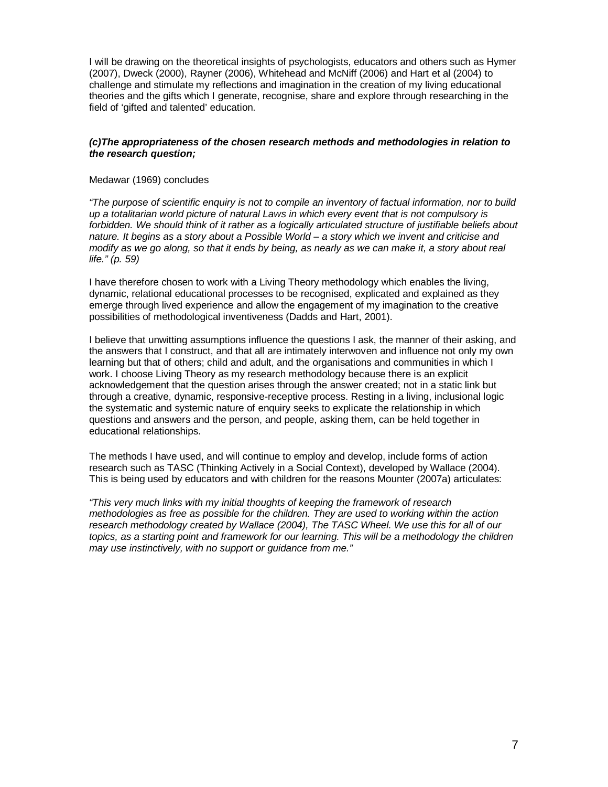I will be drawing on the theoretical insights of psychologists, educators and others such as Hymer (2007), Dweck (2000), Rayner (2006), Whitehead and McNiff (2006) and Hart et al (2004) to challenge and stimulate my reflections and imagination in the creation of my living educational theories and the gifts which I generate, recognise, share and explore through researching in the field of 'gifted and talented' education.

# *(c)The appropriateness of the chosen research methods and methodologies in relation to the research question;*

## Medawar (1969) concludes

*"The purpose of scientific enquiry is not to compile an inventory of factual information, nor to build up a totalitarian world picture of natural Laws in which every event that is not compulsory is forbidden. We should think of it rather as a logically articulated structure of justifiable beliefs about nature. It begins as a story about a Possible World – a story which we invent and criticise and modify as we go along, so that it ends by being, as nearly as we can make it, a story about real life." (p. 59)*

I have therefore chosen to work with a Living Theory methodology which enables the living, dynamic, relational educational processes to be recognised, explicated and explained as they emerge through lived experience and allow the engagement of my imagination to the creative possibilities of methodological inventiveness (Dadds and Hart, 2001).

I believe that unwitting assumptions influence the questions I ask, the manner of their asking, and the answers that I construct, and that all are intimately interwoven and influence not only my own learning but that of others; child and adult, and the organisations and communities in which I work. I choose Living Theory as my research methodology because there is an explicit acknowledgement that the question arises through the answer created; not in a static link but through a creative, dynamic, responsive-receptive process. Resting in a living, inclusional logic the systematic and systemic nature of enquiry seeks to explicate the relationship in which questions and answers and the person, and people, asking them, can be held together in educational relationships.

The methods I have used, and will continue to employ and develop, include forms of action research such as TASC (Thinking Actively in a Social Context), developed by Wallace (2004). This is being used by educators and with children for the reasons Mounter (2007a) articulates:

*"This very much links with my initial thoughts of keeping the framework of research methodologies as free as possible for the children. They are used to working within the action research methodology created by Wallace (2004), The TASC Wheel. We use this for all of our topics, as a starting point and framework for our learning. This will be a methodology the children may use instinctively, with no support or guidance from me."*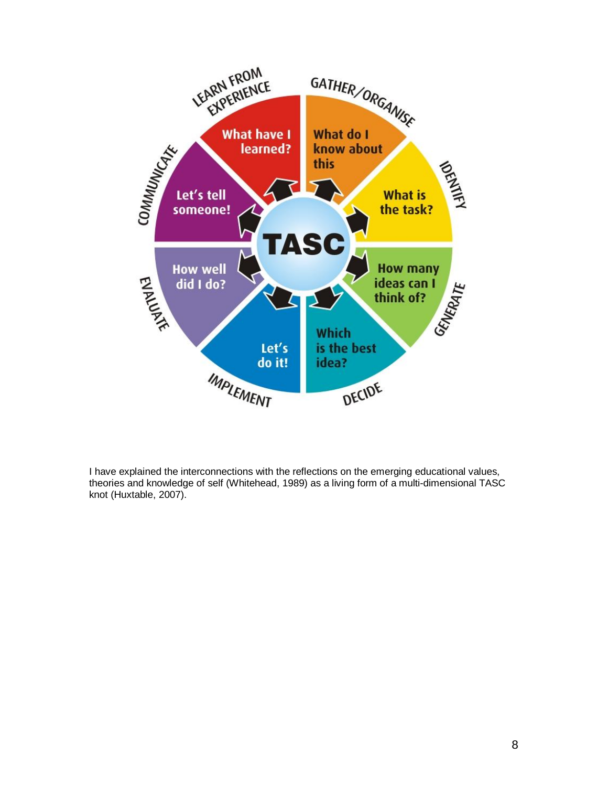

I have explained the interconnections with the reflections on the emerging educational values, theories and knowledge of self (Whitehead, 1989) as a living form of a multi-dimensional TASC knot (Huxtable, 2007).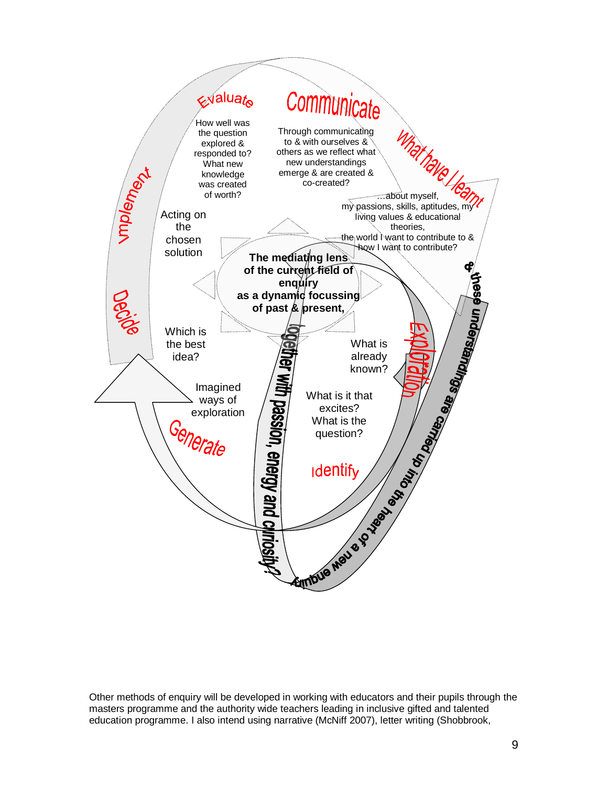

Other methods of enquiry will be developed in working with educators and their pupils through the masters programme and the authority wide teachers leading in inclusive gifted and talented education programme. I also intend using narrative (McNiff 2007), letter writing (Shobbrook,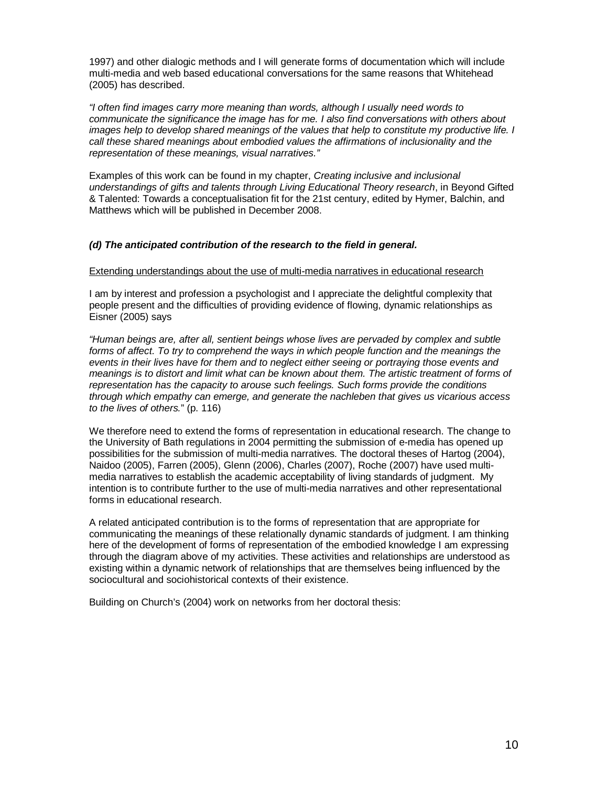1997) and other dialogic methods and I will generate forms of documentation which will include multi-media and web based educational conversations for the same reasons that Whitehead (2005) has described.

*"I often find images carry more meaning than words, although I usually need words to communicate the significance the image has for me. I also find conversations with others about images help to develop shared meanings of the values that help to constitute my productive life. I call these shared meanings about embodied values the affirmations of inclusionality and the representation of these meanings, visual narratives."*

Examples of this work can be found in my chapter, *Creating inclusive and inclusional understandings of gifts and talents through Living Educational Theory research*, in Beyond Gifted & Talented: Towards a conceptualisation fit for the 21st century, edited by Hymer, Balchin, and Matthews which will be published in December 2008.

## *(d) The anticipated contribution of the research to the field in general.*

#### Extending understandings about the use of multi-media narratives in educational research

I am by interest and profession a psychologist and I appreciate the delightful complexity that people present and the difficulties of providing evidence of flowing, dynamic relationships as Eisner (2005) says

*"Human beings are, after all, sentient beings whose lives are pervaded by complex and subtle forms of affect. To try to comprehend the ways in which people function and the meanings the events in their lives have for them and to neglect either seeing or portraying those events and meanings is to distort and limit what can be known about them. The artistic treatment of forms of representation has the capacity to arouse such feelings. Such forms provide the conditions through which empathy can emerge, and generate the nachleben that gives us vicarious access to the lives of others.*" (p. 116)

We therefore need to extend the forms of representation in educational research. The change to the University of Bath regulations in 2004 permitting the submission of e-media has opened up possibilities for the submission of multi-media narratives. The doctoral theses of Hartog (2004), Naidoo (2005), Farren (2005), Glenn (2006), Charles (2007), Roche (2007) have used multimedia narratives to establish the academic acceptability of living standards of judgment. My intention is to contribute further to the use of multi-media narratives and other representational forms in educational research.

A related anticipated contribution is to the forms of representation that are appropriate for communicating the meanings of these relationally dynamic standards of judgment. I am thinking here of the development of forms of representation of the embodied knowledge I am expressing through the diagram above of my activities. These activities and relationships are understood as existing within a dynamic network of relationships that are themselves being influenced by the sociocultural and sociohistorical contexts of their existence.

Building on Church's (2004) work on networks from her doctoral thesis: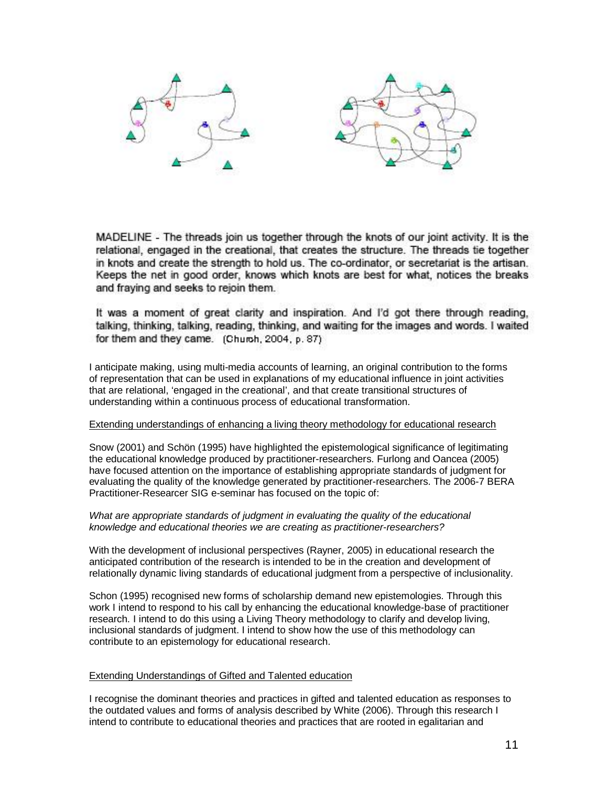

MADELINE - The threads join us together through the knots of our joint activity. It is the relational, engaged in the creational, that creates the structure. The threads tie together in knots and create the strength to hold us. The co-ordinator, or secretariat is the artisan. Keeps the net in good order, knows which knots are best for what, notices the breaks and fraying and seeks to rejoin them.

It was a moment of great clarity and inspiration. And I'd got there through reading, talking, thinking, talking, reading, thinking, and waiting for the images and words. I waited for them and they came. (Church, 2004, p. 87)

I anticipate making, using multi-media accounts of learning, an original contribution to the forms of representation that can be used in explanations of my educational influence in joint activities that are relational, 'engaged in the creational', and that create transitional structures of understanding within a continuous process of educational transformation.

# Extending understandings of enhancing a living theory methodology for educational research

Snow (2001) and Schön (1995) have highlighted the epistemological significance of legitimating the educational knowledge produced by practitioner-researchers. Furlong and Oancea (2005) have focused attention on the importance of establishing appropriate standards of judgment for evaluating the quality of the knowledge generated by practitioner-researchers. The 2006-7 BERA Practitioner-Researcer SIG e-seminar has focused on the topic of:

# *What are appropriate standards of judgment in evaluating the quality of the educational knowledge and educational theories we are creating as practitioner-researchers?*

With the development of inclusional perspectives (Rayner, 2005) in educational research the anticipated contribution of the research is intended to be in the creation and development of relationally dynamic living standards of educational judgment from a perspective of inclusionality.

Schon (1995) recognised new forms of scholarship demand new epistemologies. Through this work I intend to respond to his call by enhancing the educational knowledge-base of practitioner research. I intend to do this using a Living Theory methodology to clarify and develop living, inclusional standards of judgment. I intend to show how the use of this methodology can contribute to an epistemology for educational research.

# Extending Understandings of Gifted and Talented education

I recognise the dominant theories and practices in gifted and talented education as responses to the outdated values and forms of analysis described by White (2006). Through this research I intend to contribute to educational theories and practices that are rooted in egalitarian and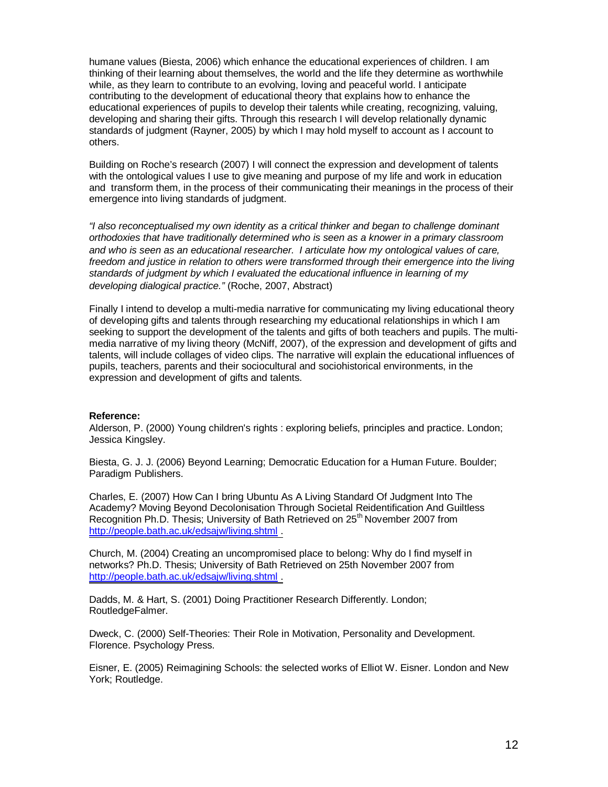humane values (Biesta, 2006) which enhance the educational experiences of children. I am thinking of their learning about themselves, the world and the life they determine as worthwhile while, as they learn to contribute to an evolving, loving and peaceful world. I anticipate contributing to the development of educational theory that explains how to enhance the educational experiences of pupils to develop their talents while creating, recognizing, valuing, developing and sharing their gifts. Through this research I will develop relationally dynamic standards of judgment (Rayner, 2005) by which I may hold myself to account as I account to others.

Building on Roche's research (2007) I will connect the expression and development of talents with the ontological values I use to give meaning and purpose of my life and work in education and transform them, in the process of their communicating their meanings in the process of their emergence into living standards of judgment.

*"I also reconceptualised my own identity as a critical thinker and began to challenge dominant orthodoxies that have traditionally determined who is seen as a knower in a primary classroom and who is seen as an educational researcher. I articulate how my ontological values of care, freedom and justice in relation to others were transformed through their emergence into the living standards of judgment by which I evaluated the educational influence in learning of my developing dialogical practice.*" (Roche, 2007, Abstract)

Finally I intend to develop a multi-media narrative for communicating my living educational theory of developing gifts and talents through researching my educational relationships in which I am seeking to support the development of the talents and gifts of both teachers and pupils. The multimedia narrative of my living theory (McNiff, 2007), of the expression and development of gifts and talents, will include collages of video clips. The narrative will explain the educational influences of pupils, teachers, parents and their sociocultural and sociohistorical environments, in the expression and development of gifts and talents.

#### **Reference:**

Alderson, P. (2000) Young children's rights : exploring beliefs, principles and practice. London; Jessica Kingsley.

Biesta, G. J. J. (2006) Beyond Learning; Democratic Education for a Human Future. Boulder; Paradigm Publishers.

Charles, E. (2007) How Can I bring Ubuntu As A Living Standard Of Judgment Into The Academy? Moving Beyond Decolonisation Through Societal Reidentification And Guiltless Recognition Ph.D. Thesis; University of Bath Retrieved on 25<sup>th</sup> November 2007 from [http://people.bath.ac.uk/edsajw/living.shtml .](http://people.bath.ac.uk/edsajw/living.shtml)

Church, M. (2004) Creating an uncompromised place to belong: Why do I find myself in networks? Ph.D. Thesis; University of Bath Retrieved on 25th November 2007 from [http://people.bath.ac.uk/edsajw/living.shtml .](http://people.bath.ac.uk/edsajw/living.shtml)

Dadds, M. & Hart, S. (2001) Doing Practitioner Research Differently. London; RoutledgeFalmer.

Dweck, C. (2000) Self-Theories: Their Role in Motivation, Personality and Development. Florence. Psychology Press.

Eisner, E. (2005) Reimagining Schools: the selected works of Elliot W. Eisner. London and New York; Routledge.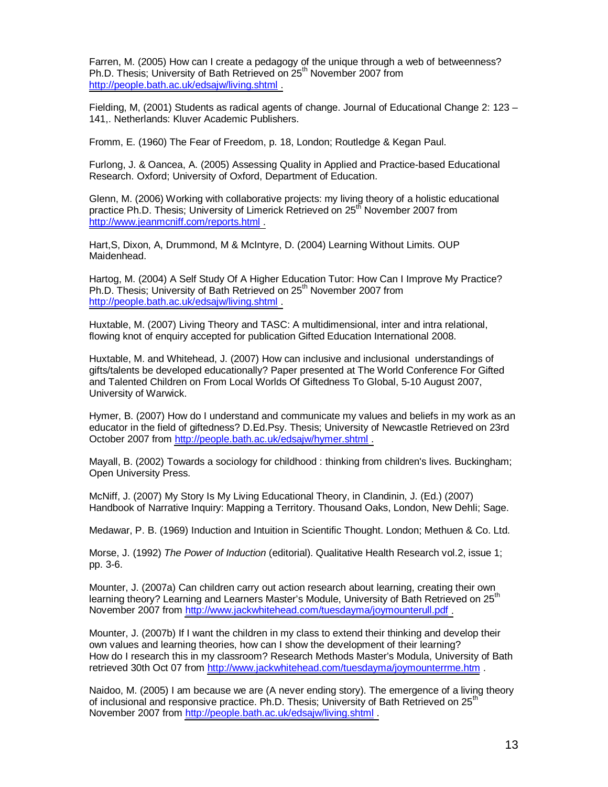Farren, M. (2005) How can I create a pedagogy of the unique through a web of betweenness? Ph.D. Thesis: University of Bath Retrieved on 25<sup>th</sup> November 2007 from [http://people.bath.ac.uk/edsajw/living.shtml .](http://people.bath.ac.uk/edsajw/living.shtml)

Fielding, M, (2001) Students as radical agents of change. Journal of Educational Change 2: 123 – 141,. Netherlands: Kluver Academic Publishers.

Fromm, E. (1960) The Fear of Freedom, p. 18, London; Routledge & Kegan Paul.

Furlong, J. & Oancea, A. (2005) Assessing Quality in Applied and Practice-based Educational Research. Oxford; University of Oxford, Department of Education.

Glenn, M. (2006) Working with collaborative projects: my living theory of a holistic educational practice Ph.D. Thesis; University of Limerick Retrieved on 25<sup>th</sup> November 2007 from [http://www.jeanmcniff.com/reports.html .](http://www.jeanmcniff.com/reports.html)

Hart,S, Dixon, A, Drummond, M & McIntyre, D. (2004) Learning Without Limits. OUP Maidenhead.

Hartog, M. (2004) A Self Study Of A Higher Education Tutor: How Can I Improve My Practice? Ph.D. Thesis; University of Bath Retrieved on 25<sup>th</sup> November 2007 from [http://people.bath.ac.uk/edsajw/living.shtml .](http://people.bath.ac.uk/edsajw/living.shtml)

Huxtable, M. (2007) Living Theory and TASC: A multidimensional, inter and intra relational, flowing knot of enquiry accepted for publication Gifted Education International 2008.

Huxtable, M. and Whitehead, J. (2007) How can inclusive and inclusional understandings of gifts/talents be developed educationally? Paper presented at The World Conference For Gifted and Talented Children on From Local Worlds Of Giftedness To Global, 5-10 August 2007, University of Warwick.

Hymer, B. (2007) How do I understand and communicate my values and beliefs in my work as an educator in the field of giftedness? D.Ed.Psy. Thesis; University of Newcastle Retrieved on 23rd October 2007 from [http://people.bath.ac.uk/edsajw/hymer.shtml .](http://people.bath.ac.uk/edsajw/hymer.shtml)

Mayall, B. (2002) Towards a sociology for childhood : thinking from children's lives. Buckingham; Open University Press.

McNiff, J. (2007) My Story Is My Living Educational Theory, in Clandinin, J. (Ed.) (2007) Handbook of Narrative Inquiry: Mapping a Territory. Thousand Oaks, London, New Dehli; Sage.

Medawar, P. B. (1969) Induction and Intuition in Scientific Thought. London; Methuen & Co. Ltd.

Morse, J. (1992) *The Power of Induction* (editorial). Qualitative Health Research vol.2, issue 1; pp. 3-6.

Mounter, J. (2007a) Can children carry out action research about learning, creating their own learning theory? Learning and Learners Master's Module, University of Bath Retrieved on 25<sup>th</sup> November 2007 from [http://www.jackwhitehead.com/tuesdayma/joymounterull.pdf .](http://www.jackwhitehead.com/tuesdayma/joymounterull.pdf)

Mounter, J. (2007b) If I want the children in my class to extend their thinking and develop their own values and learning theories, how can I show the development of their learning? How do I research this in my classroom? Research Methods Master's Modula, University of Bath retrieved 30th Oct 07 from <http://www.jackwhitehead.com/tuesdayma/joymounterrme.htm>

Naidoo, M. (2005) I am because we are (A never ending story). The emergence of a living theory of inclusional and responsive practice. Ph.D. Thesis; University of Bath Retrieved on 25<sup>th</sup> November 2007 from [http://people.bath.ac.uk/edsajw/living.shtml .](http://people.bath.ac.uk/edsajw/living.shtml)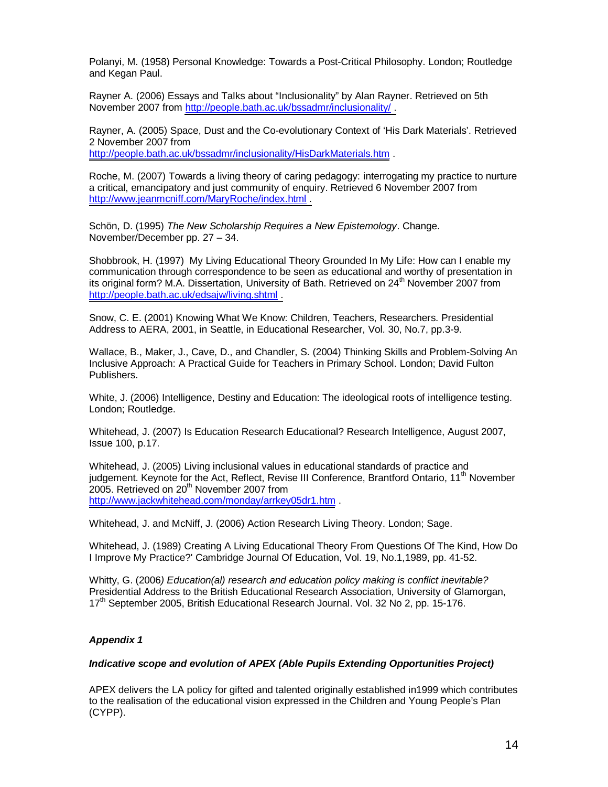Polanyi, M. (1958) Personal Knowledge: Towards a Post-Critical Philosophy. London; Routledge and Kegan Paul.

Rayner A. (2006) Essays and Talks about "Inclusionality" by Alan Rayner. Retrieved on 5th November 2007 from [http://people.bath.ac.uk/bssadmr/inclusionality/ .](http://people.bath.ac.uk/bssadmr/inclusionality/)

Rayner, A. (2005) Space, Dust and the Co-evolutionary Context of 'His Dark Materials'. Retrieved 2 November 2007 from

<http://people.bath.ac.uk/bssadmr/inclusionality/HisDarkMaterials.htm> .

Roche, M. (2007) Towards a living theory of caring pedagogy: interrogating my practice to nurture a critical, emancipatory and just community of enquiry. Retrieved 6 November 2007 from [http://www.jeanmcniff.com/MaryRoche/index.html .](http://www.jeanmcniff.com/MaryRoche/index.html)

Schön, D. (1995) *The New Scholarship Requires a New Epistemology*. Change. November/December pp. 27 – 34.

Shobbrook, H. (1997) My Living Educational Theory Grounded In My Life: How can I enable my communication through correspondence to be seen as educational and worthy of presentation in its original form? M.A. Dissertation, University of Bath. Retrieved on 24<sup>th</sup> November 2007 from [http://people.bath.ac.uk/edsajw/living.shtml .](http://people.bath.ac.uk/edsajw/living.shtml)

Snow, C. E. (2001) Knowing What We Know: Children, Teachers, Researchers. Presidential Address to AERA, 2001, in Seattle, in Educational Researcher, Vol. 30, No.7, pp.3-9.

Wallace, B., Maker, J., Cave, D., and Chandler, S. (2004) Thinking Skills and Problem-Solving An Inclusive Approach: A Practical Guide for Teachers in Primary School. London; David Fulton Publishers.

White, J. (2006) Intelligence, Destiny and Education: The ideological roots of intelligence testing. London; Routledge.

Whitehead, J. (2007) Is Education Research Educational? Research Intelligence, August 2007, Issue 100, p.17.

Whitehead, J. (2005) Living inclusional values in educational standards of practice and judgement. Keynote for the Act, Reflect, Revise III Conference, Brantford Ontario, 11<sup>th</sup> November 2005. Retrieved on 20<sup>th</sup> November 2007 from <http://www.jackwhitehead.com/monday/arrkey05dr1.htm> .

Whitehead, J. and McNiff, J. (2006) Action Research Living Theory. London; Sage.

Whitehead, J. (1989) Creating A Living Educational Theory From Questions Of The Kind, How Do I Improve My Practice?' Cambridge Journal Of Education, Vol. 19, No.1,1989, pp. 41-52.

Whitty, G. (2006*) Education(al) research and education policy making is conflict inevitable?* Presidential Address to the British Educational Research Association, University of Glamorgan, 17<sup>th</sup> September 2005, British Educational Research Journal, Vol. 32 No 2, pp. 15-176.

# *Appendix 1*

# *Indicative scope and evolution of APEX (Able Pupils Extending Opportunities Project)*

APEX delivers the LA policy for gifted and talented originally established in1999 which contributes to the realisation of the educational vision expressed in the Children and Young People's Plan (CYPP).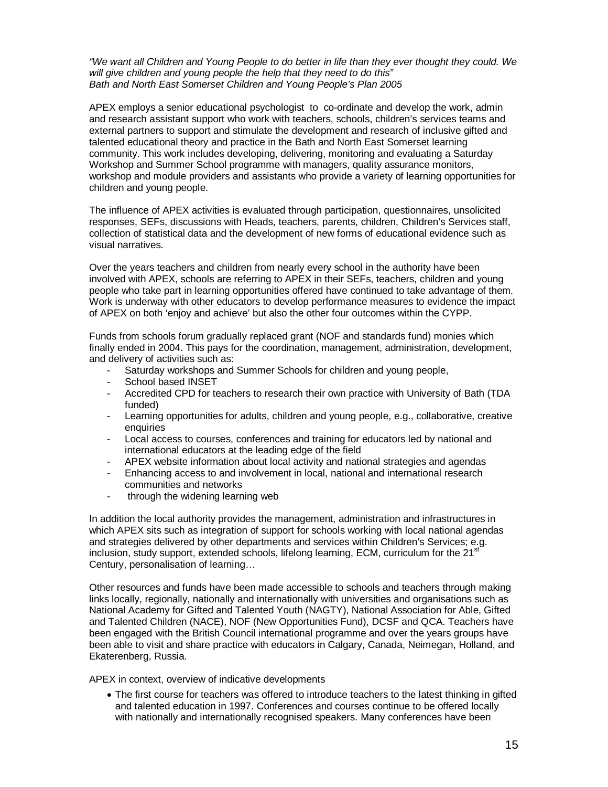*"We want all Children and Young People to do better in life than they ever thought they could. We will give children and young people the help that they need to do this" Bath and North East Somerset Children and Young People's Plan 2005*

APEX employs a senior educational psychologist to co-ordinate and develop the work, admin and research assistant support who work with teachers, schools, children's services teams and external partners to support and stimulate the development and research of inclusive gifted and talented educational theory and practice in the Bath and North East Somerset learning community. This work includes developing, delivering, monitoring and evaluating a Saturday Workshop and Summer School programme with managers, quality assurance monitors, workshop and module providers and assistants who provide a variety of learning opportunities for children and young people.

The influence of APEX activities is evaluated through participation, questionnaires, unsolicited responses, SEFs, discussions with Heads, teachers, parents, children, Children's Services staff, collection of statistical data and the development of new forms of educational evidence such as visual narratives.

Over the years teachers and children from nearly every school in the authority have been involved with APEX, schools are referring to APEX in their SEFs, teachers, children and young people who take part in learning opportunities offered have continued to take advantage of them. Work is underway with other educators to develop performance measures to evidence the impact of APEX on both 'enjoy and achieve' but also the other four outcomes within the CYPP.

Funds from schools forum gradually replaced grant (NOF and standards fund) monies which finally ended in 2004. This pays for the coordination, management, administration, development, and delivery of activities such as:

- Saturday workshops and Summer Schools for children and young people,
- School based INSET
- Accredited CPD for teachers to research their own practice with University of Bath (TDA funded)
- Learning opportunities for adults, children and young people, e.g., collaborative, creative enquiries
- Local access to courses, conferences and training for educators led by national and international educators at the leading edge of the field
- APEX website information about local activity and national strategies and agendas
- Enhancing access to and involvement in local, national and international research communities and networks
- through the widening learning web

In addition the local authority provides the management, administration and infrastructures in which APEX sits such as integration of support for schools working with local national agendas and strategies delivered by other departments and services within Children's Services; e.g. inclusion, study support, extended schools, lifelong learning, ECM, curriculum for the 21 $^{\circ}$ Century, personalisation of learning…

Other resources and funds have been made accessible to schools and teachers through making links locally, regionally, nationally and internationally with universities and organisations such as National Academy for Gifted and Talented Youth (NAGTY), National Association for Able, Gifted and Talented Children (NACE), NOF (New Opportunities Fund), DCSF and QCA. Teachers have been engaged with the British Council international programme and over the years groups have been able to visit and share practice with educators in Calgary, Canada, Neimegan, Holland, and Ekaterenberg, Russia.

APEX in context, overview of indicative developments

• The first course for teachers was offered to introduce teachers to the latest thinking in gifted and talented education in 1997. Conferences and courses continue to be offered locally with nationally and internationally recognised speakers. Many conferences have been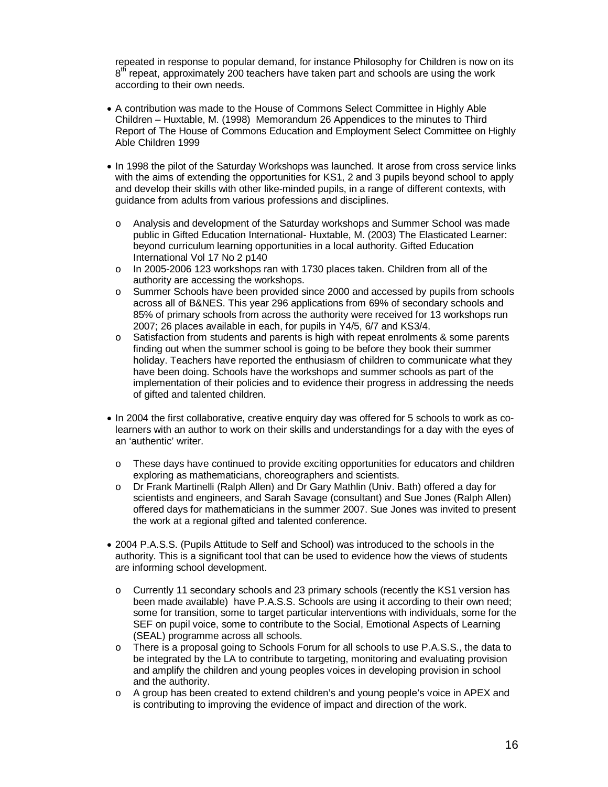repeated in response to popular demand, for instance Philosophy for Children is now on its 8<sup>th</sup> repeat, approximately 200 teachers have taken part and schools are using the work according to their own needs.

- A contribution was made to the House of Commons Select Committee in Highly Able Children – Huxtable, M. (1998) Memorandum 26 Appendices to the minutes to Third Report of The House of Commons Education and Employment Select Committee on Highly Able Children 1999
- In 1998 the pilot of the Saturday Workshops was launched. It arose from cross service links with the aims of extending the opportunities for KS1, 2 and 3 pupils beyond school to apply and develop their skills with other like-minded pupils, in a range of different contexts, with guidance from adults from various professions and disciplines.
	- o Analysis and development of the Saturday workshops and Summer School was made public in Gifted Education International- Huxtable, M. (2003) The Elasticated Learner: beyond curriculum learning opportunities in a local authority. Gifted Education International Vol 17 No 2 p140
	- o In 2005-2006 123 workshops ran with 1730 places taken. Children from all of the authority are accessing the workshops.
	- o Summer Schools have been provided since 2000 and accessed by pupils from schools across all of B&NES. This year 296 applications from 69% of secondary schools and 85% of primary schools from across the authority were received for 13 workshops run 2007; 26 places available in each, for pupils in Y4/5, 6/7 and KS3/4.
	- $\circ$  Satisfaction from students and parents is high with repeat enrolments & some parents finding out when the summer school is going to be before they book their summer holiday. Teachers have reported the enthusiasm of children to communicate what they have been doing. Schools have the workshops and summer schools as part of the implementation of their policies and to evidence their progress in addressing the needs of gifted and talented children.
- In 2004 the first collaborative, creative enquiry day was offered for 5 schools to work as colearners with an author to work on their skills and understandings for a day with the eyes of an 'authentic' writer.
	- o These days have continued to provide exciting opportunities for educators and children exploring as mathematicians, choreographers and scientists.
	- o Dr Frank Martinelli (Ralph Allen) and Dr Gary Mathlin (Univ. Bath) offered a day for scientists and engineers, and Sarah Savage (consultant) and Sue Jones (Ralph Allen) offered days for mathematicians in the summer 2007. Sue Jones was invited to present the work at a regional gifted and talented conference.
- 2004 P.A.S.S. (Pupils Attitude to Self and School) was introduced to the schools in the authority. This is a significant tool that can be used to evidence how the views of students are informing school development.
	- o Currently 11 secondary schools and 23 primary schools (recently the KS1 version has been made available) have P.A.S.S. Schools are using it according to their own need; some for transition, some to target particular interventions with individuals, some for the SEF on pupil voice, some to contribute to the Social, Emotional Aspects of Learning (SEAL) programme across all schools.
	- o There is a proposal going to Schools Forum for all schools to use P.A.S.S., the data to be integrated by the LA to contribute to targeting, monitoring and evaluating provision and amplify the children and young peoples voices in developing provision in school and the authority.
	- o A group has been created to extend children's and young people's voice in APEX and is contributing to improving the evidence of impact and direction of the work.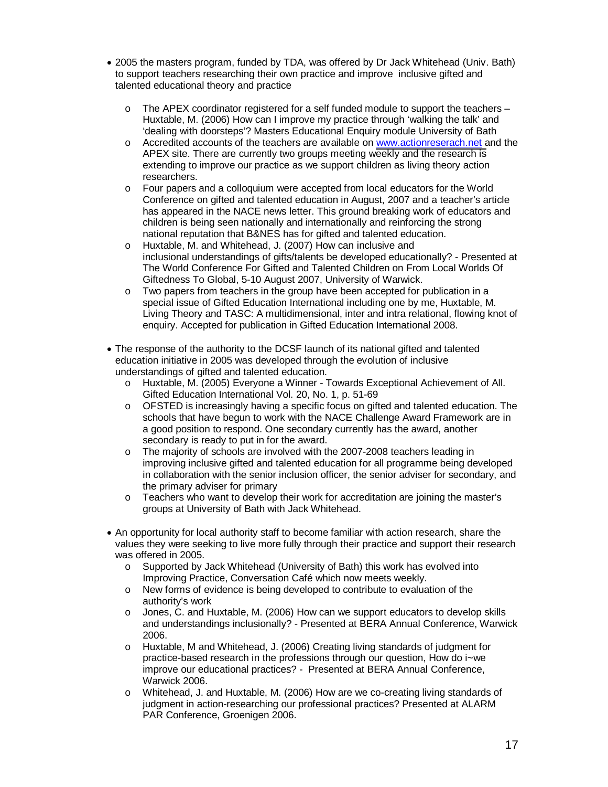- 2005 the masters program, funded by TDA, was offered by Dr Jack Whitehead (Univ. Bath) to support teachers researching their own practice and improve inclusive gifted and talented educational theory and practice
	- $\circ$  The APEX coordinator registered for a self funded module to support the teachers Huxtable, M. (2006) How can I improve my practice through 'walking the talk' and 'dealing with doorsteps'? Masters Educational Enquiry module University of Bath
	- o Accredited accounts of the teachers are available on [www.actionreserach.net a](http://www.actionreserach.net/)nd the APEX site. There are currently two groups meeting weekly and the research is extending to improve our practice as we support children as living theory action researchers.
	- o Four papers and a colloquium were accepted from local educators for the World Conference on gifted and talented education in August, 2007 and a teacher's article has appeared in the NACE news letter. This ground breaking work of educators and children is being seen nationally and internationally and reinforcing the strong national reputation that B&NES has for gifted and talented education.
	- o Huxtable, M. and Whitehead, J. (2007) How can inclusive and inclusional understandings of gifts/talents be developed educationally? - Presented at The World Conference For Gifted and Talented Children on From Local Worlds Of Giftedness To Global, 5-10 August 2007, University of Warwick.
	- o Two papers from teachers in the group have been accepted for publication in a special issue of Gifted Education International including one by me, Huxtable, M. Living Theory and TASC: A multidimensional, inter and intra relational, flowing knot of enquiry. Accepted for publication in Gifted Education International 2008.
- The response of the authority to the DCSF launch of its national gifted and talented education initiative in 2005 was developed through the evolution of inclusive understandings of gifted and talented education.
	- o Huxtable, M. (2005) Everyone a Winner Towards Exceptional Achievement of All. Gifted Education International Vol. 20, No. 1, p. 51-69
	- o OFSTED is increasingly having a specific focus on gifted and talented education. The schools that have begun to work with the NACE Challenge Award Framework are in a good position to respond. One secondary currently has the award, another secondary is ready to put in for the award.
	- o The majority of schools are involved with the 2007-2008 teachers leading in improving inclusive gifted and talented education for all programme being developed in collaboration with the senior inclusion officer, the senior adviser for secondary, and the primary adviser for primary
	- o Teachers who want to develop their work for accreditation are joining the master's groups at University of Bath with Jack Whitehead.
- An opportunity for local authority staff to become familiar with action research, share the values they were seeking to live more fully through their practice and support their research was offered in 2005.
	- o Supported by Jack Whitehead (University of Bath) this work has evolved into Improving Practice, Conversation Café which now meets weekly.
	- o New forms of evidence is being developed to contribute to evaluation of the authority's work
	- o Jones, C. and Huxtable, M. (2006) How can we support educators to develop skills and understandings inclusionally? - Presented at BERA Annual Conference, Warwick 2006.
	- o Huxtable, M and Whitehead, J. (2006) Creating living standards of judgment for practice-based research in the professions through our question, How do i~we improve our educational practices? - Presented at BERA Annual Conference, Warwick 2006.
	- o Whitehead, J. and Huxtable, M. (2006) How are we co-creating living standards of judgment in action-researching our professional practices? Presented at ALARM PAR Conference, Groenigen 2006.